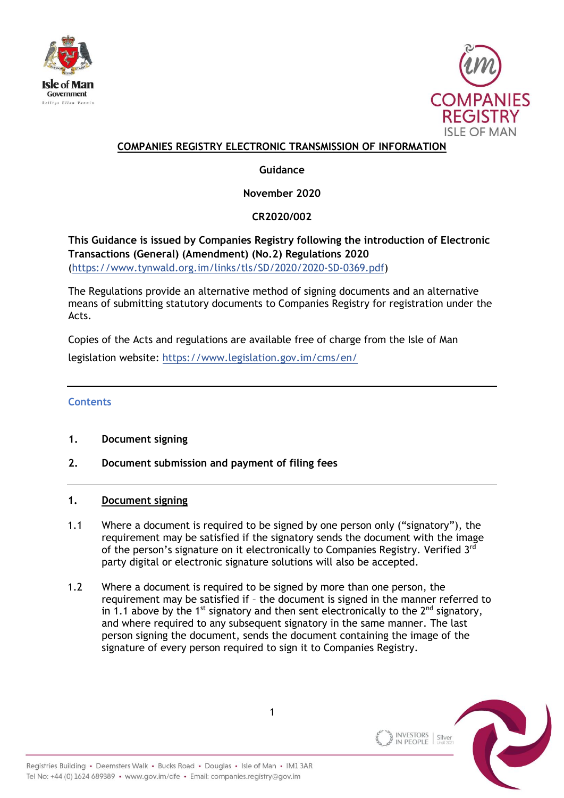



## **COMPANIES REGISTRY ELECTRONIC TRANSMISSION OF INFORMATION**

# **Guidance**

**November 2020**

**CR2020/002**

**This Guidance is issued by Companies Registry following the introduction of Electronic Transactions (General) (Amendment) (No.2) Regulations 2020**  [\(https://www.tynwald.org.im/links/tls/SD/2020/2020-SD-0369.pdf\)](https://www.tynwald.org.im/links/tls/SD/2020/2020-SD-0369.pdf)

The Regulations provide an alternative method of signing documents and an alternative means of submitting statutory documents to Companies Registry for registration under the Acts.

Copies of the Acts and regulations are available free of charge from the Isle of Man legislation website: <https://www.legislation.gov.im/cms/en/>

## **Contents**

- **1. Document signing**
- **2. Document submission and payment of filing fees**

#### **1. Document signing**

- 1.1 Where a document is required to be signed by one person only ("signatory"), the requirement may be satisfied if the signatory sends the document with the image of the person's signature on it electronically to Companies Registry. Verified 3<sup>rd</sup> party digital or electronic signature solutions will also be accepted.
- 1.2 Where a document is required to be signed by more than one person, the requirement may be satisfied if – the document is signed in the manner referred to in 1.1 above by the 1<sup>st</sup> signatory and then sent electronically to the  $2^{nd}$  signatory, and where required to any subsequent signatory in the same manner. The last person signing the document, sends the document containing the image of the signature of every person required to sign it to Companies Registry.

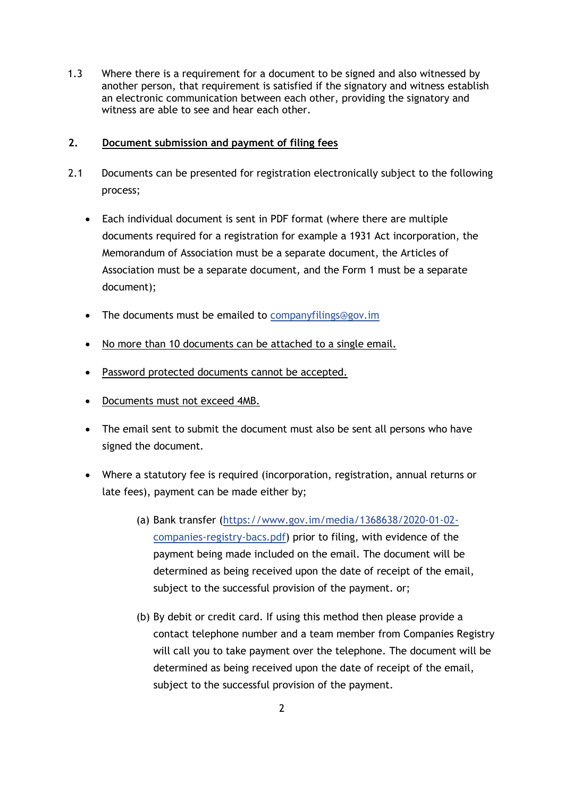1.3 Where there is a requirement for a document to be signed and also witnessed by another person, that requirement is satisfied if the signatory and witness establish an electronic communication between each other, providing the signatory and witness are able to see and hear each other.

#### **2. Document submission and payment of filing fees**

- 2.1 Documents can be presented for registration electronically subject to the following process;
	- Each individual document is sent in PDF format (where there are multiple documents required for a registration for example a 1931 Act incorporation, the Memorandum of Association must be a separate document, the Articles of Association must be a separate document, and the Form 1 must be a separate document);
	- The documents must be emailed to [companyfilings@gov.im](mailto:companyfilings@gov.im)
	- No more than 10 documents can be attached to a single email.
	- Password protected documents cannot be accepted.
	- Documents must not exceed 4MB.
	- The email sent to submit the document must also be sent all persons who have signed the document.
	- Where a statutory fee is required (incorporation, registration, annual returns or late fees), payment can be made either by;
		- (a) Bank transfer [\(https://www.gov.im/media/1368638/2020-01-02](https://www.gov.im/media/1368638/2020-01-02-companies-registry-bacs.pdf) [companies-registry-bacs.pdf\)](https://www.gov.im/media/1368638/2020-01-02-companies-registry-bacs.pdf) prior to filing, with evidence of the payment being made included on the email. The document will be determined as being received upon the date of receipt of the email, subject to the successful provision of the payment. or;
		- (b) By debit or credit card. If using this method then please provide a contact telephone number and a team member from Companies Registry will call you to take payment over the telephone. The document will be determined as being received upon the date of receipt of the email, subject to the successful provision of the payment.